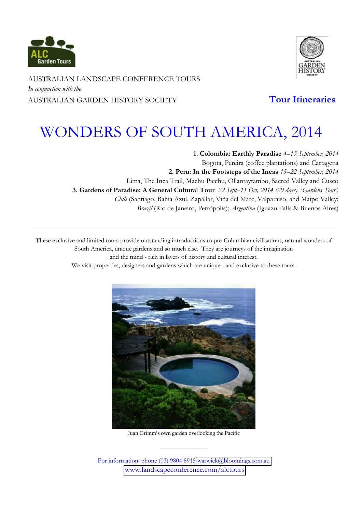



AUSTRALIAN LANDSCAPE CONFERENCE TOURS *In conjunction with the* AUSTRALIAN GARDEN HISTORY SOCIETY **Tour Itineraries**

# WONDERS OF SOUTH AMERICA, 2014

**1. Colombia: Earthly Paradise** *4²13 September, 2014*  Bogota, Pereira (coffee plantations) and Cartagena **2. Peru: In the Footsteps of the Incas** *13²22 September, 2014* Lima, The Inca Trail, Machu Picchu, Ollantaytambo, Sacred Valley and Cusco **3. Gardens of Paradise: A General Cultural Tour** 22 Sept-11 Oct, 2014 (20 days). 'Gardens Tour'. *Chile* (Santiago, Bahia Azul, Zapallar, Viña del Mare, Valparaiso, and Maipo Valley; *Brazil* (Rio de Janeiro, Petrópolis); *Argentina* (Iguazu Falls & Buenos Aires)

These exclusive and limited tours provide outstanding introductions to pre-Columbian civilisations, natural wonders of South America, unique gardens and so much else. They are journeys of the imagination and the mind - rich in layers of history and cultural interest.

We visit properties, designers and gardens which are unique - and exclusive to these tours.



Juan Grimm's own garden overlooking the Pacific

For information: phone (03) 9804 8915 warwick@bloomings.com.au www.landscapeconference.com/alctours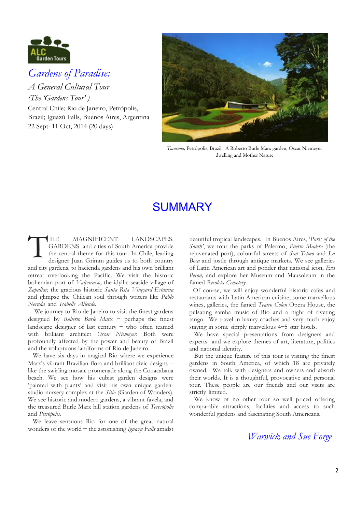

## *Gardens of Paradise:*

*A General Cultural Tour (The 'Gardens Tour')* Central Chile; Rio de Janeiro, Petrópolis, Brazil; Iguazú Falls, Buenos Aires, Argentina 22 Sept-11 Oct, 2014 (20 days)



*Tacaruna,* Petrópolis, Brazil. A Roberto Burle Marx garden, Oscar Niemeyer dwelling and Mother Nature

## SUMMARY

HE MAGNIFICENT LANDSCAPES, GARDENS and cities of South America provide the central theme for this tour. In Chile, leading designer Juan Grimm guides us to both country and city gardens, to hacienda gardens and his own brilliant retreat overlooking the Pacific. We visit the historic bohemian port of *Valparaiso*, the idyllic seaside village of *Zapallar,* the gracious historic *Santa Rita Vineyard Estancia* and glimpse the Chilean soul through writers like *Pablo Neruda* and *Isabelle Allende. .*  T

 We journey to Rio de Janeiro to visit the finest gardens designed by *Roberto Burle Marx* - perhaps the finest landscape designer of last century  $-$  who often teamed with brilliant architect *Oscar Niemeyer*. Both were profoundly affected by the power and beauty of Brazil and the voluptuous landforms of Rio de Janeiro. .

 We have six days in magical Rio where we experience Marx's vibrant Brazilian flora and brilliant civic designs  $$ like the swirling mosaic promenade along the Copacabana beach. We see how his cubist garden designs were 'painted with plants' and visit his own unique gardenstudio-nursery complex at the *Sítio* (Garden of Wonders). We see historic and modern gardens, a vibrant favela, and the treasured Burle Marx hill station gardens of *Teresópolis* and *Petrópolis. .*

 We leave sensuous Rio for one of the great natural wonders of the world – the astonishing *Iguazu Falls* amidst

beautiful tropical landscapes. In Buenos Aires, *Paris of the South'*, we tour the parks of Palermo, *Puerto Madero* (the rejuvenated port), colourful streets of *San Telmo* and *La Boca* and jostle through antique markets. We see galleries of Latin American art and ponder that national icon, *Eva Peron,* and explore her Museum and Mausoleum in the famed *Recoleta Cemetery*.

 Of course, we will enjoy wonderful historic cafes and restaurants with Latin American cuisine, some marvellous wines, galleries, the famed *Teatro Colon* Opera House, the pulsating samba music of Rio and a night of riveting tango. We travel in luxury coaches and very much enjoy staying in some simply marvellous  $4-5$  star hotels.

 We have special presentations from designers and experts and we explore themes of art, literature, politics and national identity. *.*

 But the unique feature of this tour is visiting the finest gardens in South America, of which 18 are privately owned. We talk with designers and owners and absorb their worlds. It is a thoughtful, provocative and personal tour. These people are our friends and our visits are strictly limited. *.*

 We know of no other tour so well priced offering comparable attractions, facilities and access to such wonderful gardens and fascinating South Americans. *.*

*Warwick and Sue Forge*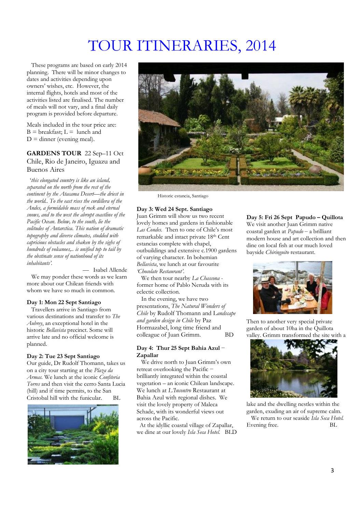# TOUR ITINERARIES, 2014

 These programs are based on early 2014 planning. There will be minor changes to dates and activities depending upon owners· wishes, etc. However, the internal flights, hotels and most of the activities listed are finalised. The number of meals will not vary, and a final daily program is provided before departure.

Meals included in the tour price are:  $B =$  breakfast;  $L =$  lunch and  $D =$  dinner (evening meal).

### **GARDENS TOUR** 22 Sep-11 Oct Chile, Rio de Janeiro, Iguazu and Buenos Aires

 ¶*this elongated country is like an island, separated on the north from the rest of the continent by the Atacama Desert-the driest in the world.. To the east rises the cordillera of the Andes, a formidable mass of rock and eternal snows, and to the west the abrupt coastline of the Pacific Ocean. Below, to the south, lie the solitudes of Antarctica. This nation of dramatic topography and diverse climates, studded with capricious obstacles and shaken by the sighs of hundreds of volcanoes,.. is unified top to tail by the obstinate sense of nationhood of its*   $in$ *habitants*<sup>2</sup>.

- Isabel Allende We may ponder these words as we learn more about our Chilean friends with whom we have so much in common.

#### **Day 1: Mon 22 Sept Santiago**

 Travellers arrive in Santiago from various destinations and transfer to *The Aubrey*, an exceptional hotel in the historic *Bellavista* precinct. Some will arrive late and no official welcome is planned.

#### **Day 2: Tue 23 Sept Santiago**

Our guide, Dr Rudolf Thomann, takes us on a city tour starting at the *Plaza da Armas.* We lunch at the iconic *Confiteria Torres* and then visit the cerro Santa Lucia (hill) and if time permits, to the San Cristobal hill with the funicular. BL





Historic estancia, Santiago

### **Day 3: Wed 24 Sept. Santiago**

Juan Grimm will show us two recent lovely homes and gardens in fashionable Las Condes. Then to one of Chile's most remarkable and intact private 18th Cent estancias complete with chapel, outbuildings and extensive c.1900 gardens of varying character. In bohemian *Bellavista*, we lunch at our favourite *<i>Chocolate* Restaurant'.

 We then tour nearby *La Chascona*  former home of Pablo Neruda with its eclectic collection.

 In the evening, we have two presentations, *The Natural Wonders of Chile* by Rudolf Thomann and L*andscape and garden design in Chile* by Paz Hormazabel, long time friend and colleague of Juan Grimm. BD

#### **Day 4: Thur 25 Sept Bahia Azul** í **Zapallar**

We drive north to Juan Grimm's own retreat overlooking the Pacific brilliantly integrated within the coastal vegetation - an iconic Chilean landscape. We lunch at *L'Incontro* Restaurant at Bahia Azul with regional dishes. We visit the lovely property of Maleca Schade, with its wonderful views out across the Pacific.

 At the idyllic coastal village of Zapallar, we dine at our lovely *Isla Seca Hotel.* BLD

#### Day 5: Fri 26 Sept Papudo – Quillota We visit another Juan Grimm native coastal garden at *Papudo* - a brilliant modern house and art collection and then dine on local fish at our much loved bayside *Chiringuito* restaurant.



Then to another very special private garden of about 10ha in the Quillota valley. Grimm transformed the site with a



lake and the dwelling nestles within the garden, exuding an air of supreme calm. We return to our seaside *Isla Seca Hotel.* Evening free. BL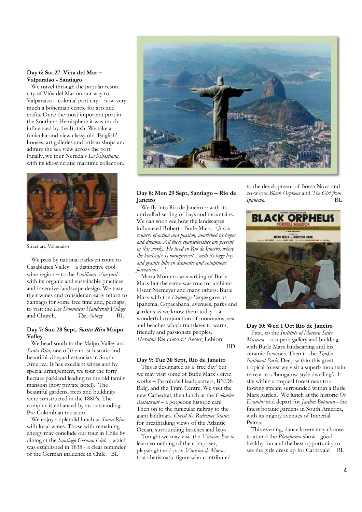#### **Day 6: Sat 27 Viña del Mar ² Valparaíso - Santiago**

 We travel through the popular resort city of Viña del Mar on our way to  $Valparaíso - colonial port city - now very$ much a bohemian centre for arts and crafts. Once the most important port in the Southern Hemisphere it was much influenced by the British. We take a funicular and view classy old 'English' houses, art galleries and artisan shops and admire the sea view across the port. Finally, we tour Neruda's La Sebastiana, with its idiosyncratic maritime collection.



Street art, Valparaiso

 We pass by national parks en route to  $Casablanca$  Valley  $-$  a distinctive cool wine region - to the *Emiliana Vineyard* with its organic and sustainable practices and inventive landscape design. We taste their wines and consider an early return to Santiago for some free time and, perhaps, to visit the *Los Dominicos Handicraft Village* and Church. *The Aubrey* BL

#### **Day 7: Sun 28 Sept, Santa Rita Maipo Valley**

 We head south to the Maipo Valley and *Santa Rita,* one of the most historic and beautiful vineyard estancias in South America*.* It has excellent wines and by special arrangement, we tour the forty hectare parkland leading to the old family mansion (now private hotel). The beautiful gardens, trees and buildings were constructed in the 1880's. The complex is enhanced by an outstanding Pre-Colombian museum.

 We enjoy a splendid lunch at *Santa Rita* with local wines. Those with remaining energy may conclude our tour in Chile by dining at the *Santiago German Club* – which was established in 1838 - a clear reminder of the German influence in Chile. BL



#### **Day 8: Mon 29 Sept, Santiago ² Rio de Janeiro**

We fly into Rio de Janeiro  $-\text{ with its}$ unrivalled setting of bays and mountains. We can soon see how the landscapes influenced Roberto Burle Marx, ',it is a *country of action and passion, nourished by hopes and dreams. All these characteristics are present in (his work). He lived in Rio de Janeiro, where the landscape is omnipresent... with its huge bay and granite hills in dramatic and voluptuous formations...*'

 Marta Montero was writing of Burle Marx but the same was true for architect Oscar Niemeyer and many others. Burle Marx with the *Flamengo Parque* gave us Ipanema, Copacabana, avenues, parks and gardens as we know them today  $-\overline{a}$ wonderful conjunction of mountains, sea and beaches which translates to warm, friendly and passionate peoples. *Sheraton Rio Hotel & Resort*, Leblon BD

#### **Day 9: Tue 30 Sept, Rio de Janeiro**

This is designated as a 'free day' but we may visit some of Burle Marx's civic works - Petrobrás Headquarters, BNDS Bldg. and the Tram Centre. We visit the new Cathedral, then lunch at the *Colombo Restaurant* – a gorgeous historic café. Then on to the funicular railway to the giant landmark *Christ the Redeemer Statue,* for breathtaking views of the Atlantic Ocean, surrounding beaches and bays.

 Tonight we may visit the *Vinicius Bar to* learn something of the composer, playwright and poet *Vinicius de Moraes* that charismatic figure who contributed

to the development of Bossa Nova and co-wrote *Black Orpheus* and *The Girl from Ipanema.* BL



#### **Day 10: Wed 1 Oct Rio de Janeiro**

 First, to the *Institute of Moreira Sales*   $Museum - a superb galley and building$ with Burle Marx landscaping and his ceramic frescoes. Then to the *Tijuka National Park.* Deep within this great tropical forest we visit a superb mountain retreat in a 'bungalow style dwelling'. It sits within a tropical forest next to a flowing stream surrounded within a Burle Marx garden. We lunch at the historic *Os Esquilos* and depart for *Jardim Botanico*-the finest botanic gardens in South America, with its mighty avenues of Imperial Palms.

 This evening, dance lovers may choose to attend the *Plataforma* show - good healthy fun and the best opportunity to see the girls dress up for Carnavale! BL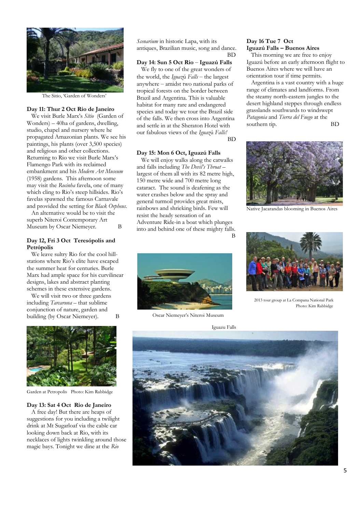

The Sitio. 'Garden of Wonders

#### **Day 11: Thur 2 Oct Rio de Janeiro**

We visit Burle Marx's Sitio (Garden of  $Wonders$  – 40ha of gardens, dwelling, studio, chapel and nursery where he propagated Amazonian plants. We see his paintings, his plants (over 3,500 species) and religious and other collections. Returning to Rio we visit Burle Marx's Flamengo Park with its reclaimed embankment and his *Modern Art Museum* (1958) gardens. This afternoon some may visit the *Rocinha* favela, one of many which cling to Rio's steep hillsides. Rio's favelas spawned the famous Carnavale and provided the setting for *Black Orpheus.*

 An alternative would be to visit the superb Niteroi Contemporary Art Museum by Oscar Niemeyer. B

#### **Day 12, Fri 3 Oct Teresópolis and Petrópolis**

 We leave sultry Rio for the cool hillstations where Rio's elite have escaped the summer heat for centuries. Burle Marx had ample space for his curvilinear designs, lakes and abstract planting schemes in these extensive gardens.

We will visit two or three gardens including *Tarcaruna* - that sublime conjunction of nature, garden and building (by Oscar Niemeyer). B



Garden at Petropolis Photo: Kim Rabbidge

#### **Day 13: Sat 4 Oct Rio de Janeiro**

 A free day! But there are heaps of suggestions for you including a twilight drink at Mt Sugarloaf via the cable car looking down back at Rio, with its necklaces of lights twinkling around those magic bays. Tonight we dine at the *Rio* 

*Scenarium* in historic Lapa, with its antiques, Brazilian music, song and dance. BD

**Day 14: Sun 5 Oct Rio** ± **Iguazú Falls** We fly to one of the great wonders of the world, the *Iguaz*ú *Falls* – the largest anywhere  $-\overline{a}$  amidst two national parks of tropical forests on the border between Brazil and Argentina. This is valuable habitat for many rare and endangered species and today we tour the Brazil side of the falls. We then cross into Argentina and settle in at the Sheraton Hotel with our fabulous views of the *Iguaz*ú *Falls!*  BD

#### **Day 15: Mon 6 Oct, Iguazú Falls**

 We will enjoy walks along the catwalks and falls including *The Devil's Throat* largest of them all with its 82 metre high, 150 metre wide and 700 metre long cataract. The sound is deafening as the water crashes below and the spray and general turmoil provides great mists, rainbows and shrieking birds. Few will resist the heady sensation of an Adventure Ride-in a boat which plunges into and behind one of these mighty falls.

B



Oscar Niemeyer's Niteroi Museum

Iguazu Falls

#### **Day 16 Tue 7 Oct Iguazú Falls ² Buenos Aires**

 This morning we are free to enjoy Iguazú before an early afternoon flight to Buenos Aires where we will have an orientation tour if time permits.

 Argentina is a vast country with a huge range of climates and landforms. From the steamy north-eastern jungles to the desert highland steppes through endless grasslands southwards to windswept *Patagonia* and *Tierra del Fuego* at the southern tip. BD



Native Jacarandas blooming in Buenos Aires



 2013 tour group at La Compana National Park Photo: Kim Rabbidge